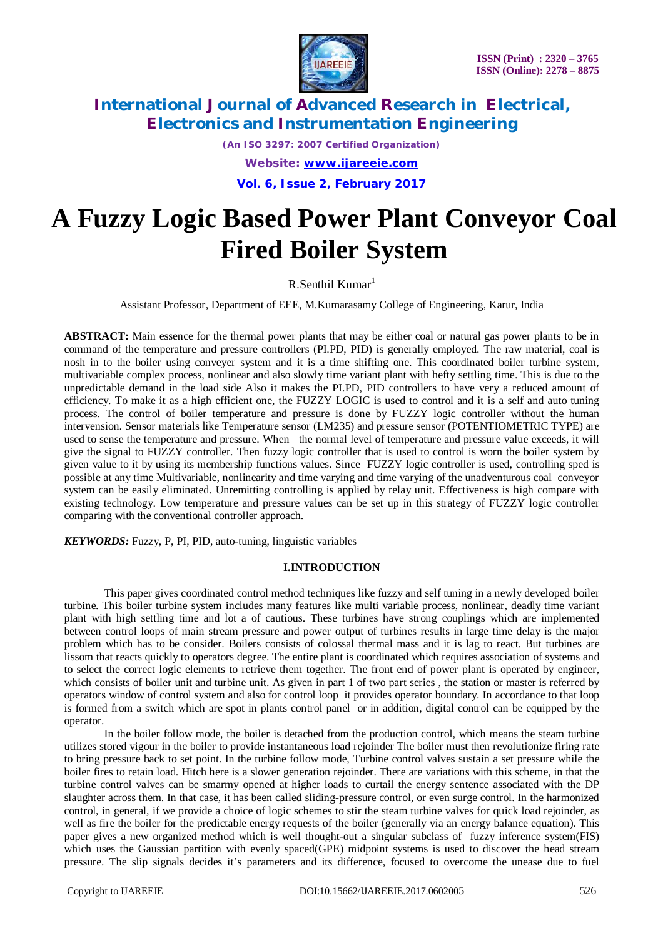

*(An ISO 3297: 2007 Certified Organization) Website: [www.ijareeie.com](http://www.ijareeie.com)* **Vol. 6, Issue 2, February 2017**

# **A Fuzzy Logic Based Power Plant Conveyor Coal Fired Boiler System**

 $R.S$ enthil Kumar<sup>1</sup>

Assistant Professor, Department of EEE, M.Kumarasamy College of Engineering, Karur, India

**ABSTRACT:** Main essence for the thermal power plants that may be either coal or natural gas power plants to be in command of the temperature and pressure controllers (PI.PD, PID) is generally employed. The raw material, coal is nosh in to the boiler using conveyer system and it is a time shifting one. This coordinated boiler turbine system, multivariable complex process, nonlinear and also slowly time variant plant with hefty settling time. This is due to the unpredictable demand in the load side Also it makes the PI.PD, PID controllers to have very a reduced amount of efficiency. To make it as a high efficient one, the FUZZY LOGIC is used to control and it is a self and auto tuning process. The control of boiler temperature and pressure is done by FUZZY logic controller without the human intervension. Sensor materials like Temperature sensor (LM235) and pressure sensor (POTENTIOMETRIC TYPE) are used to sense the temperature and pressure. When the normal level of temperature and pressure value exceeds, it will give the signal to FUZZY controller. Then fuzzy logic controller that is used to control is worn the boiler system by given value to it by using its membership functions values. Since FUZZY logic controller is used, controlling sped is possible at any time Multivariable, nonlinearity and time varying and time varying of the unadventurous coal conveyor system can be easily eliminated. Unremitting controlling is applied by relay unit. Effectiveness is high compare with existing technology. Low temperature and pressure values can be set up in this strategy of FUZZY logic controller comparing with the conventional controller approach.

*KEYWORDS:* Fuzzy, P, PI, PID, auto-tuning, linguistic variables

## **I.INTRODUCTION**

This paper gives coordinated control method techniques like fuzzy and self tuning in a newly developed boiler turbine. This boiler turbine system includes many features like multi variable process, nonlinear, deadly time variant plant with high settling time and lot a of cautious. These turbines have strong couplings which are implemented between control loops of main stream pressure and power output of turbines results in large time delay is the major problem which has to be consider. Boilers consists of colossal thermal mass and it is lag to react. But turbines are lissom that reacts quickly to operators degree. The entire plant is coordinated which requires association of systems and to select the correct logic elements to retrieve them together. The front end of power plant is operated by engineer, which consists of boiler unit and turbine unit. As given in part 1 of two part series, the station or master is referred by operators window of control system and also for control loop it provides operator boundary. In accordance to that loop is formed from a switch which are spot in plants control panel or in addition, digital control can be equipped by the operator.

In the boiler follow mode, the boiler is detached from the production control, which means the steam turbine utilizes stored vigour in the boiler to provide instantaneous load rejoinder The boiler must then revolutionize firing rate to bring pressure back to set point. In the turbine follow mode, Turbine control valves sustain a set pressure while the boiler fires to retain load. Hitch here is a slower generation rejoinder. There are variations with this scheme, in that the turbine control valves can be smarmy opened at higher loads to curtail the energy sentence associated with the DP slaughter across them. In that case, it has been called sliding-pressure control, or even surge control. In the harmonized control, in general, if we provide a choice of logic schemes to stir the steam turbine valves for quick load rejoinder, as well as fire the boiler for the predictable energy requests of the boiler (generally via an energy balance equation). This paper gives a new organized method which is well thought-out a singular subclass of fuzzy inference system(FIS) which uses the Gaussian partition with evenly spaced(GPE) midpoint systems is used to discover the head stream pressure. The slip signals decides it's parameters and its difference, focused to overcome the unease due to fuel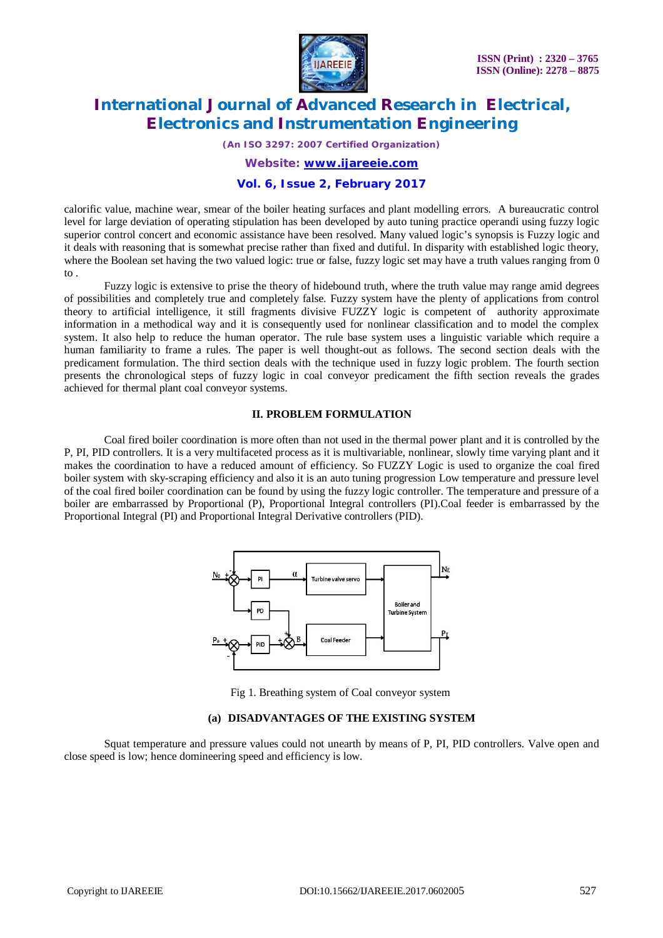

*(An ISO 3297: 2007 Certified Organization)*

*Website: [www.ijareeie.com](http://www.ijareeie.com)*

### **Vol. 6, Issue 2, February 2017**

calorific value, machine wear, smear of the boiler heating surfaces and plant modelling errors. A bureaucratic control level for large deviation of operating stipulation has been developed by auto tuning practice operandi using fuzzy logic superior control concert and economic assistance have been resolved. Many valued logic's synopsis is Fuzzy logic and it deals with reasoning that is somewhat precise rather than fixed and dutiful. In disparity with established logic theory, where the Boolean set having the two valued logic: true or false, fuzzy logic set may have a truth values ranging from 0 to .

Fuzzy logic is extensive to prise the theory of hidebound truth, where the truth value may range amid degrees of possibilities and completely true and completely false. Fuzzy system have the plenty of applications from control theory to artificial intelligence, it still fragments divisive FUZZY logic is competent of authority approximate information in a methodical way and it is consequently used for nonlinear classification and to model the complex system. It also help to reduce the human operator. The rule base system uses a linguistic variable which require a human familiarity to frame a rules. The paper is well thought-out as follows. The second section deals with the predicament formulation. The third section deals with the technique used in fuzzy logic problem. The fourth section presents the chronological steps of fuzzy logic in coal conveyor predicament the fifth section reveals the grades achieved for thermal plant coal conveyor systems.

#### **II. PROBLEM FORMULATION**

Coal fired boiler coordination is more often than not used in the thermal power plant and it is controlled by the P, PI, PID controllers. It is a very multifaceted process as it is multivariable, nonlinear, slowly time varying plant and it makes the coordination to have a reduced amount of efficiency. So FUZZY Logic is used to organize the coal fired boiler system with sky-scraping efficiency and also it is an auto tuning progression Low temperature and pressure level of the coal fired boiler coordination can be found by using the fuzzy logic controller. The temperature and pressure of a boiler are embarrassed by Proportional (P), Proportional Integral controllers (PI).Coal feeder is embarrassed by the Proportional Integral (PI) and Proportional Integral Derivative controllers (PID).



Fig 1. Breathing system of Coal conveyor system

### **(a) DISADVANTAGES OF THE EXISTING SYSTEM**

Squat temperature and pressure values could not unearth by means of P, PI, PID controllers. Valve open and close speed is low; hence domineering speed and efficiency is low.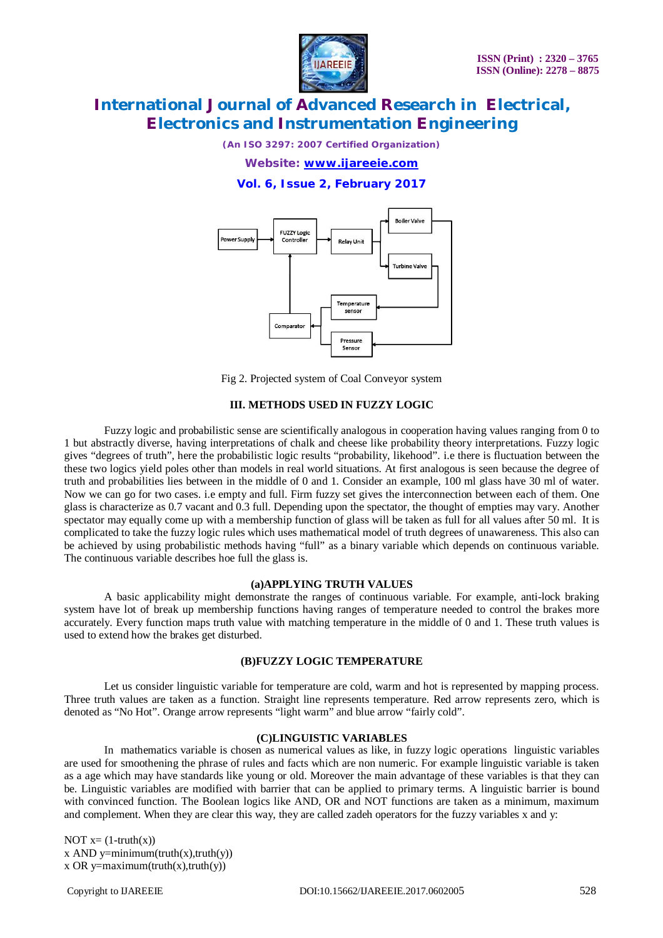

*(An ISO 3297: 2007 Certified Organization)*

*Website: [www.ijareeie.com](http://www.ijareeie.com)*

**Vol. 6, Issue 2, February 2017**



Fig 2. Projected system of Coal Conveyor system

#### **III. METHODS USED IN FUZZY LOGIC**

Fuzzy logic and probabilistic sense are scientifically analogous in cooperation having values ranging from 0 to 1 but abstractly diverse, having interpretations of chalk and cheese like probability theory interpretations. Fuzzy logic gives "degrees of truth", here the probabilistic logic results "probability, likehood". i.e there is fluctuation between the these two logics yield poles other than models in real world situations. At first analogous is seen because the degree of truth and probabilities lies between in the middle of 0 and 1. Consider an example, 100 ml glass have 30 ml of water. Now we can go for two cases. i.e empty and full. Firm fuzzy set gives the interconnection between each of them. One glass is characterize as 0.7 vacant and 0.3 full. Depending upon the spectator, the thought of empties may vary. Another spectator may equally come up with a membership function of glass will be taken as full for all values after 50 ml. It is complicated to take the fuzzy logic rules which uses mathematical model of truth degrees of unawareness. This also can be achieved by using probabilistic methods having "full" as a binary variable which depends on continuous variable. The continuous variable describes hoe full the glass is.

# **(a)APPLYING TRUTH VALUES**

A basic applicability might demonstrate the ranges of continuous variable. For example, anti-lock braking system have lot of break up membership functions having ranges of temperature needed to control the brakes more accurately. Every function maps truth value with matching temperature in the middle of 0 and 1. These truth values is used to extend how the brakes get disturbed.

### **(B)FUZZY LOGIC TEMPERATURE**

Let us consider linguistic variable for temperature are cold, warm and hot is represented by mapping process. Three truth values are taken as a function. Straight line represents temperature. Red arrow represents zero, which is denoted as "No Hot". Orange arrow represents "light warm" and blue arrow "fairly cold".

### **(C)LINGUISTIC VARIABLES**

In mathematics variable is chosen as numerical values as like, in fuzzy logic operations linguistic variables are used for smoothening the phrase of rules and facts which are non numeric. For example linguistic variable is taken as a age which may have standards like young or old. Moreover the main advantage of these variables is that they can be. Linguistic variables are modified with barrier that can be applied to primary terms. A linguistic barrier is bound with convinced function. The Boolean logics like AND, OR and NOT functions are taken as a minimum, maximum and complement. When they are clear this way, they are called zadeh operators for the fuzzy variables x and y:

NOT  $x=(1-truth(x))$ x AND y=minimum(truth(x),truth(y)) x OR y=maximum(truth(x),truth(y))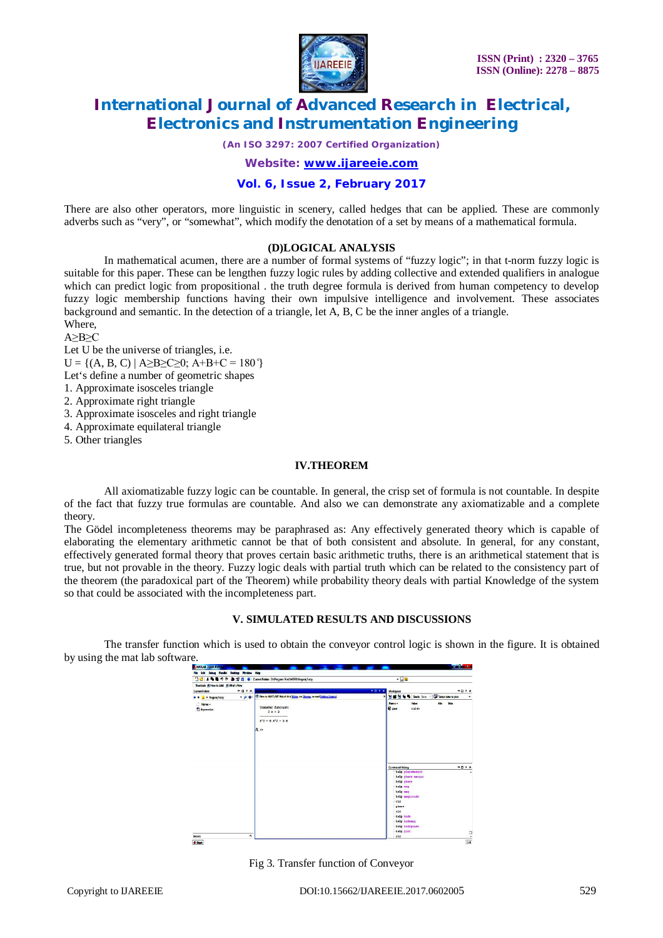

*(An ISO 3297: 2007 Certified Organization)*

*Website: [www.ijareeie.com](http://www.ijareeie.com)*

# **Vol. 6, Issue 2, February 2017**

There are also other operators, more linguistic in scenery, called hedges that can be applied. These are commonly adverbs such as "very", or "somewhat", which modify the denotation of a set by means of a mathematical formula.

### **(D)LOGICAL ANALYSIS**

In mathematical acumen, there are a number of formal systems of "fuzzy logic"; in that t-norm fuzzy logic is suitable for this paper. These can be lengthen fuzzy logic rules by adding collective and extended qualifiers in analogue which can predict logic from propositional . the truth degree formula is derived from human competency to develop fuzzy logic membership functions having their own impulsive intelligence and involvement. These associates background and semantic. In the detection of a triangle, let A, B, C be the inner angles of a triangle. Where,

A≥B≥C

Let U be the universe of triangles, i.e.

 $U = \{(A, B, C) | A \ge B \ge C \ge 0; A + B + C = 180^{\circ}\}$ 

Let's define a number of geometric shapes

1. Approximate isosceles triangle

2. Approximate right triangle

3. Approximate isosceles and right triangle

4. Approximate equilateral triangle

5. Other triangles

#### **IV.THEOREM**

All axiomatizable fuzzy logic can be countable. In general, the crisp set of formula is not countable. In despite of the fact that fuzzy true formulas are countable. And also we can demonstrate any axiomatizable and a complete theory.

The Gödel incompleteness theorems may be paraphrased as: Any effectively generated theory which is capable of elaborating the elementary arithmetic cannot be that of both consistent and absolute. In general, for any constant, effectively generated formal theory that proves certain basic arithmetic truths, there is an arithmetical statement that is true, but not provable in the theory. Fuzzy logic deals with partial truth which can be related to the consistency part of the theorem (the paradoxical part of the Theorem) while probability theory deals with partial Knowledge of the system so that could be associated with the incompleteness part.

#### **V. SIMULATED RESULTS AND DISCUSSIONS**

The transfer function which is used to obtain the conveyor control logic is shown in the figure. It is obtained by using the mat lab software.



Fig 3. Transfer function of Conveyor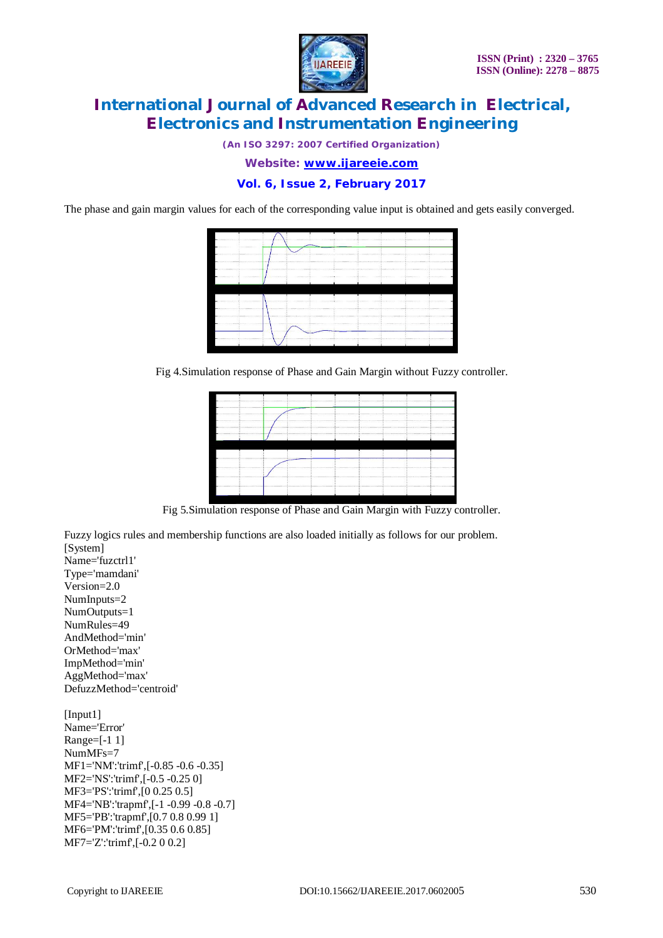

*(An ISO 3297: 2007 Certified Organization)*

*Website: [www.ijareeie.com](http://www.ijareeie.com)*

**Vol. 6, Issue 2, February 2017**

The phase and gain margin values for each of the corresponding value input is obtained and gets easily converged.



Fig 4.Simulation response of Phase and Gain Margin without Fuzzy controller.

|                                 | ,,,,,,,,,,,,,,   | 그는 아이들은 아이들은 아이들이 아니라 아이들이 아니라 아이들이 아니라 아이들이 아니라 아이들이 아니라 아이들이 아니라 아이들이 아니라 아이들이 아니라 아이들이 아니라 아이들이 아니라 아이들이 아니라 |                        |  |  |
|---------------------------------|------------------|-----------------------------------------------------------------------------------------------------------------|------------------------|--|--|
|                                 | いっかい ハンド・ハンド アンド | 아버지가 아이는 나가 오지 않을 때 보내 이 사람이 없었다.                                                                               | [[TA WAAR TERRACY TEET |  |  |
|                                 |                  |                                                                                                                 |                        |  |  |
| <b>COLORADO DE LA CALIFACIA</b> |                  |                                                                                                                 |                        |  |  |
|                                 |                  |                                                                                                                 |                        |  |  |
|                                 |                  |                                                                                                                 |                        |  |  |
|                                 |                  |                                                                                                                 |                        |  |  |
|                                 |                  |                                                                                                                 |                        |  |  |
|                                 |                  |                                                                                                                 |                        |  |  |
|                                 |                  |                                                                                                                 |                        |  |  |
|                                 |                  |                                                                                                                 |                        |  |  |
|                                 |                  |                                                                                                                 |                        |  |  |
|                                 |                  |                                                                                                                 |                        |  |  |
|                                 |                  |                                                                                                                 |                        |  |  |
|                                 |                  |                                                                                                                 |                        |  |  |
|                                 |                  |                                                                                                                 |                        |  |  |

Fig 5.Simulation response of Phase and Gain Margin with Fuzzy controller.

Fuzzy logics rules and membership functions are also loaded initially as follows for our problem. [System]

Name='fuzctrl1' Type='mamdani' Version=2.0 NumInputs=2 NumOutputs=1 NumRules=49 AndMethod='min' OrMethod='max' ImpMethod='min' AggMethod='max' DefuzzMethod='centroid' [Input1]

Name='Error' Range=[-1 1] NumMFs=7 MF1='NM':'trimf',[-0.85 -0.6 -0.35] MF2='NS':'trimf',[-0.5 -0.25 0] MF3='PS':'trimf',[0 0.25 0.5] MF4='NB':'trapmf',[-1 -0.99 -0.8 -0.7] MF5='PB':'trapmf',[0.7 0.8 0.99 1] MF6='PM':'trimf',[0.35 0.6 0.85] MF7='Z':'trimf',[-0.2 0 0.2]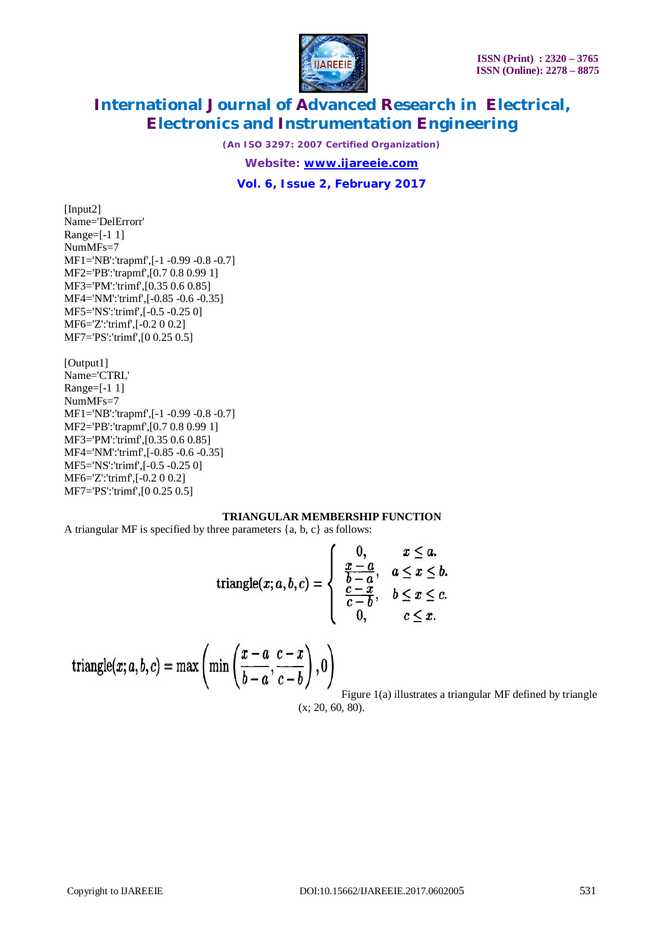

*(An ISO 3297: 2007 Certified Organization)*

*Website: [www.ijareeie.com](http://www.ijareeie.com)*

**Vol. 6, Issue 2, February 2017**

[Input2] Name='DelErrorr' Range=[-1 1] NumMFs=7 MF1='NB':'trapmf',[-1 -0.99 -0.8 -0.7] MF2='PB':'trapmf',[0.7 0.8 0.99 1] MF3='PM':'trimf',[0.35 0.6 0.85] MF4='NM':'trimf',[-0.85 -0.6 -0.35] MF5='NS':'trimf',[-0.5 -0.25 0] MF6='Z':'trimf',[-0.2 0 0.2] MF7='PS':'trimf',[0 0.25 0.5]

[Output1] Name='CTRL' Range=[-1 1] NumMFs=7 MF1='NB':'trapmf',[-1 -0.99 -0.8 -0.7] MF2='PB':'trapmf',[0.7 0.8 0.99 1] MF3='PM':'trimf',[0.35 0.6 0.85] MF4='NM':'trimf',[-0.85 -0.6 -0.35] MF5='NS':'trimf',[-0.5 -0.25 0] MF6='Z':'trimf',[-0.2 0 0.2] MF7='PS':'trimf',[0 0.25 0.5]

# **TRIANGULAR MEMBERSHIP FUNCTION**

A triangular MF is specified by three parameters {a, b, c} as follows:

triangle
$$
(x; a, b, c)
$$
 = 
$$
\begin{cases} 0, & x \leq a. \\ \frac{x-a}{b-a}, & a \leq x \leq b. \\ \frac{c-x}{c-b}, & b \leq x \leq c. \\ 0, & c \leq x. \end{cases}
$$

triangle
$$
(x; a, b, c)
$$
 = max $\left(\min\left(\frac{x-a}{b-a}, \frac{c-x}{c-b}\right), 0\right)$ 

Figure 1(a) illustrates a triangular MF defined by triangle (x; 20, 60, 80).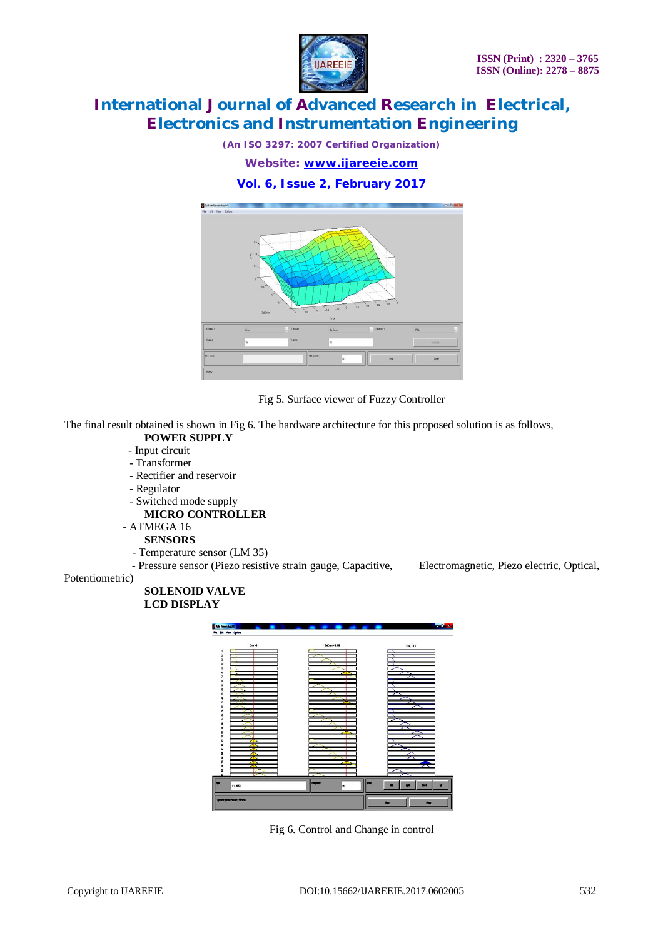

*(An ISO 3297: 2007 Certified Organization)*

*Website: [www.ijareeie.com](http://www.ijareeie.com)*

# **Vol. 6, Issue 2, February 2017**



Fig 5. Surface viewer of Fuzzy Controller

The final result obtained is shown in Fig 6. The hardware architecture for this proposed solution is as follows,

- **POWER SUPPLY**
- Input circuit
- Transformer
- Rectifier and reservoir
- Regulator
- Switched mode supply
	- **MICRO CONTROLLER**
- ATMEGA 16
	- **SENSORS**
	- Temperature sensor (LM 35)

- Pressure sensor (Piezo resistive strain gauge, Capacitive, Electromagnetic, Piezo electric, Optical,

### Potentiometric)

# **SOLENOID VALVE LCD DISPLAY**



Fig 6. Control and Change in control